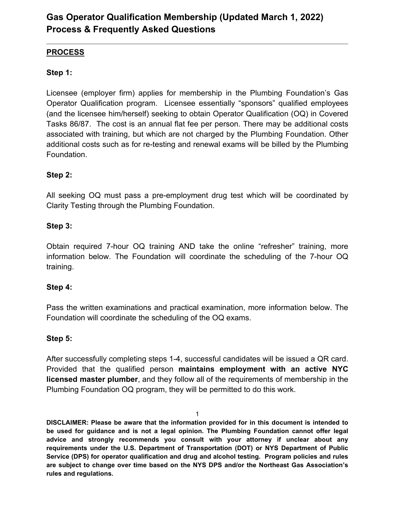### **PROCESS**

### **Step 1:**

Licensee (employer firm) applies for membership in the Plumbing Foundation's Gas Operator Qualification program. Licensee essentially "sponsors" qualified employees (and the licensee him/herself) seeking to obtain Operator Qualification (OQ) in Covered Tasks 86/87. The cost is an annual flat fee per person. There may be additional costs associated with training, but which are not charged by the Plumbing Foundation. Other additional costs such as for re-testing and renewal exams will be billed by the Plumbing Foundation.

#### **Step 2:**

All seeking OQ must pass a pre-employment drug test which will be coordinated by Clarity Testing through the Plumbing Foundation.

#### **Step 3:**

Obtain required 7-hour OQ training AND take the online "refresher" training, more information below. The Foundation will coordinate the scheduling of the 7-hour OQ training.

#### **Step 4:**

Pass the written examinations and practical examination, more information below. The Foundation will coordinate the scheduling of the OQ exams.

#### **Step 5:**

After successfully completing steps 1-4, successful candidates will be issued a QR card. Provided that the qualified person **maintains employment with an active NYC licensed master plumber**, and they follow all of the requirements of membership in the Plumbing Foundation OQ program, they will be permitted to do this work.

1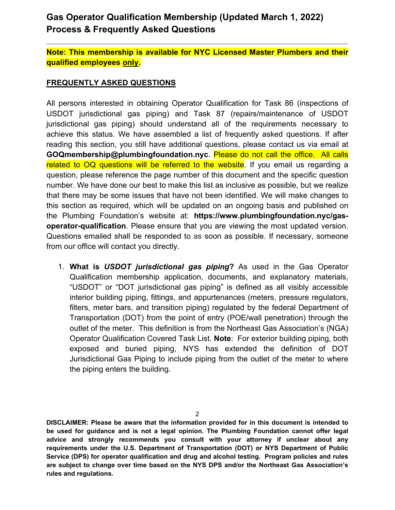**Note: This membership is available for NYC Licensed Master Plumbers and their qualified employees only.**

#### **FREQUENTLY ASKED QUESTIONS**

All persons interested in obtaining Operator Qualification for Task 86 (inspections of USDOT jurisdictional gas piping) and Task 87 (repairs/maintenance of USDOT jurisdictional gas piping) should understand all of the requirements necessary to achieve this status. We have assembled a list of frequently asked questions. If after reading this section, you still have additional questions, please contact us via email at **GOQmembership@plumbingfoundation.nyc**. Please do not call the office. All calls related to OQ questions will be referred to the website. If you email us regarding a question, please reference the page number of this document and the specific question number. We have done our best to make this list as inclusive as possible, but we realize that there may be some issues that have not been identified. We will make changes to this section as required, which will be updated on an ongoing basis and published on the Plumbing Foundation's website at: **https://www.plumbingfoundation.nyc/gasoperator-qualification**. Please ensure that you are viewing the most updated version. Questions emailed shall be responded to as soon as possible. If necessary, someone from our office will contact you directly.

1. **What is** *USDOT jurisdictional gas piping***?** As used in the Gas Operator Qualification membership application, documents, and explanatory materials, "USDOT" or "DOT jurisdictional gas piping" is defined as all visibly accessible interior building piping, fittings, and appurtenances (meters, pressure regulators, filters, meter bars, and transition piping) regulated by the federal Department of Transportation (DOT) from the point of entry (POE/wall penetration) through the outlet of the meter. This definition is from the Northeast Gas Association's (NGA) Operator Qualification Covered Task List. **Note**: For exterior building piping, both exposed and buried piping, NYS has extended the definition of DOT Jurisdictional Gas Piping to include piping from the outlet of the meter to where the piping enters the building.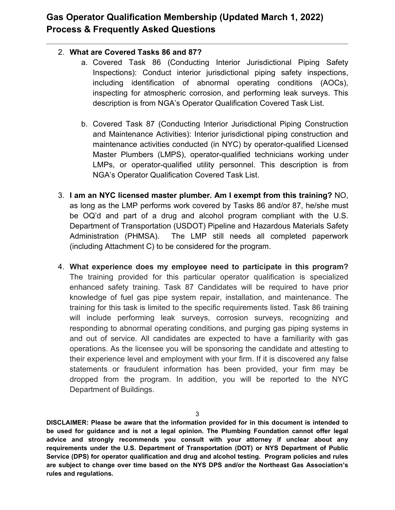### 2. **What are Covered Tasks 86 and 87?**

- a. Covered Task 86 (Conducting Interior Jurisdictional Piping Safety Inspections): Conduct interior jurisdictional piping safety inspections, including identification of abnormal operating conditions (AOCs), inspecting for atmospheric corrosion, and performing leak surveys. This description is from NGA's Operator Qualification Covered Task List.
- b. Covered Task 87 (Conducting Interior Jurisdictional Piping Construction and Maintenance Activities): Interior jurisdictional piping construction and maintenance activities conducted (in NYC) by operator-qualified Licensed Master Plumbers (LMPS), operator-qualified technicians working under LMPs, or operator-qualified utility personnel. This description is from NGA's Operator Qualification Covered Task List.
- 3. **I am an NYC licensed master plumber. Am I exempt from this training?** NO, as long as the LMP performs work covered by Tasks 86 and/or 87, he/she must be OQ'd and part of a drug and alcohol program compliant with the U.S. Department of Transportation (USDOT) Pipeline and Hazardous Materials Safety Administration (PHMSA). The LMP still needs all completed paperwork (including Attachment C) to be considered for the program.
- 4. **What experience does my employee need to participate in this program?** The training provided for this particular operator qualification is specialized enhanced safety training. Task 87 Candidates will be required to have prior knowledge of fuel gas pipe system repair, installation, and maintenance. The training for this task is limited to the specific requirements listed. Task 86 training will include performing leak surveys, corrosion surveys, recognizing and responding to abnormal operating conditions, and purging gas piping systems in and out of service. All candidates are expected to have a familiarity with gas operations. As the licensee you will be sponsoring the candidate and attesting to their experience level and employment with your firm. If it is discovered any false statements or fraudulent information has been provided, your firm may be dropped from the program. In addition, you will be reported to the NYC Department of Buildings.

3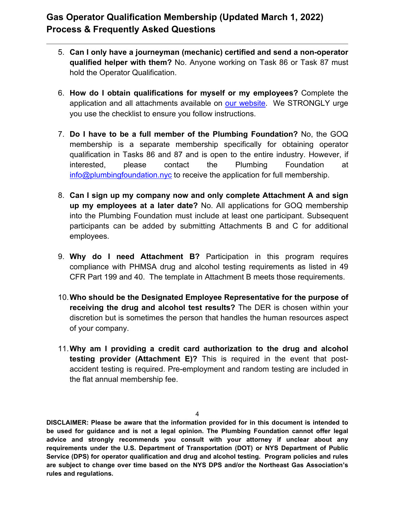- 5. **Can I only have a journeyman (mechanic) certified and send a non-operator qualified helper with them?** No. Anyone working on Task 86 or Task 87 must hold the Operator Qualification.
- 6. **How do I obtain qualifications for myself or my employees?** Complete the application and all attachments available on [our website.](https://www.plumbingfoundation.nyc/gas-operator-qualification) We STRONGLY urge you use the checklist to ensure you follow instructions.
- 7. **Do I have to be a full member of the Plumbing Foundation?** No, the GOQ membership is a separate membership specifically for obtaining operator qualification in Tasks 86 and 87 and is open to the entire industry. However, if interested, please contact the Plumbing Foundation at [info@plumbingfoundation.nyc](mailto:info@plumbingfoundation.nyc) to receive the application for full membership.
- 8. **Can I sign up my company now and only complete Attachment A and sign up my employees at a later date?** No. All applications for GOQ membership into the Plumbing Foundation must include at least one participant. Subsequent participants can be added by submitting Attachments B and C for additional employees.
- 9. **Why do I need Attachment B?** Participation in this program requires compliance with PHMSA drug and alcohol testing requirements as listed in 49 CFR Part 199 and 40. The template in Attachment B meets those requirements.
- 10.**Who should be the Designated Employee Representative for the purpose of receiving the drug and alcohol test results?** The DER is chosen within your discretion but is sometimes the person that handles the human resources aspect of your company.
- 11.**Why am I providing a credit card authorization to the drug and alcohol testing provider (Attachment E)?** This is required in the event that postaccident testing is required. Pre-employment and random testing are included in the flat annual membership fee.

4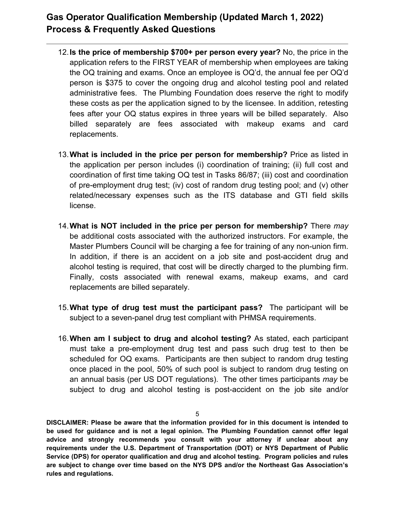- 12.**Is the price of membership \$700+ per person every year?** No, the price in the application refers to the FIRST YEAR of membership when employees are taking the OQ training and exams. Once an employee is OQ'd, the annual fee per OQ'd person is \$375 to cover the ongoing drug and alcohol testing pool and related administrative fees. The Plumbing Foundation does reserve the right to modify these costs as per the application signed to by the licensee. In addition, retesting fees after your OQ status expires in three years will be billed separately. Also billed separately are fees associated with makeup exams and card replacements.
- 13.**What is included in the price per person for membership?** Price as listed in the application per person includes (i) coordination of training; (ii) full cost and coordination of first time taking OQ test in Tasks 86/87; (iii) cost and coordination of pre-employment drug test; (iv) cost of random drug testing pool; and (v) other related/necessary expenses such as the ITS database and GTI field skills license.
- 14.**What is NOT included in the price per person for membership?** There *may*  be additional costs associated with the authorized instructors. For example, the Master Plumbers Council will be charging a fee for training of any non-union firm. In addition, if there is an accident on a job site and post-accident drug and alcohol testing is required, that cost will be directly charged to the plumbing firm. Finally, costs associated with renewal exams, makeup exams, and card replacements are billed separately.
- 15.**What type of drug test must the participant pass?** The participant will be subject to a seven-panel drug test compliant with PHMSA requirements.
- 16.**When am I subject to drug and alcohol testing?** As stated, each participant must take a pre-employment drug test and pass such drug test to then be scheduled for OQ exams. Participants are then subject to random drug testing once placed in the pool, 50% of such pool is subject to random drug testing on an annual basis (per US DOT regulations). The other times participants *may* be subject to drug and alcohol testing is post-accident on the job site and/or

5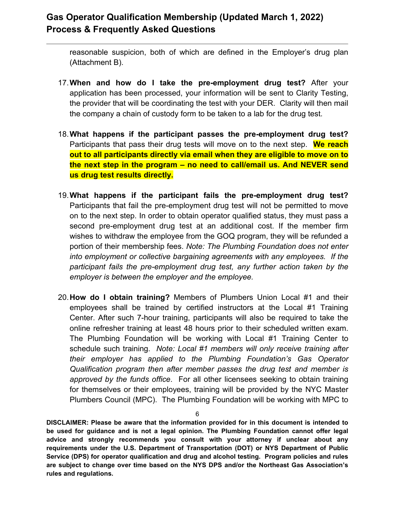reasonable suspicion, both of which are defined in the Employer's drug plan (Attachment B).

- 17.**When and how do I take the pre-employment drug test?** After your application has been processed, your information will be sent to Clarity Testing, the provider that will be coordinating the test with your DER. Clarity will then mail the company a chain of custody form to be taken to a lab for the drug test.
- 18.**What happens if the participant passes the pre-employment drug test?**  Participants that pass their drug tests will move on to the next step. **We reach out to all participants directly via email when they are eligible to move on to the next step in the program – no need to call/email us. And NEVER send us drug test results directly.**
- 19.**What happens if the participant fails the pre-employment drug test?** Participants that fail the pre-employment drug test will not be permitted to move on to the next step. In order to obtain operator qualified status, they must pass a second pre-employment drug test at an additional cost. If the member firm wishes to withdraw the employee from the GOQ program, they will be refunded a portion of their membership fees. *Note: The Plumbing Foundation does not enter into employment or collective bargaining agreements with any employees. If the participant fails the pre-employment drug test, any further action taken by the employer is between the employer and the employee.*
- 20.**How do I obtain training?** Members of Plumbers Union Local #1 and their employees shall be trained by certified instructors at the Local #1 Training Center. After such 7-hour training, participants will also be required to take the online refresher training at least 48 hours prior to their scheduled written exam. The Plumbing Foundation will be working with Local #1 Training Center to schedule such training. *Note: Local #1 members will only receive training after their employer has applied to the Plumbing Foundation's Gas Operator Qualification program then after member passes the drug test and member is approved by the funds office*. For all other licensees seeking to obtain training for themselves or their employees, training will be provided by the NYC Master Plumbers Council (MPC). The Plumbing Foundation will be working with MPC to

6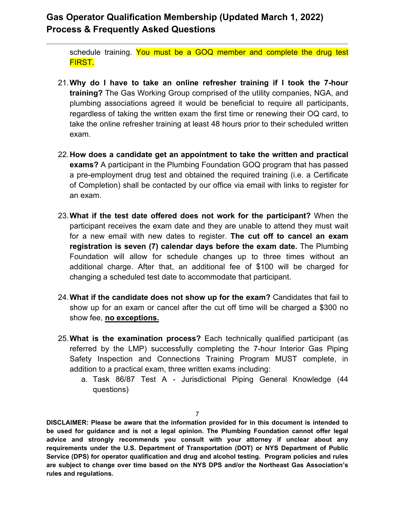schedule training. You must be a GOQ member and complete the drug test FIRST.

- 21.**Why do I have to take an online refresher training if I took the 7-hour training?** The Gas Working Group comprised of the utility companies, NGA, and plumbing associations agreed it would be beneficial to require all participants, regardless of taking the written exam the first time or renewing their OQ card, to take the online refresher training at least 48 hours prior to their scheduled written exam.
- 22.**How does a candidate get an appointment to take the written and practical exams?** A participant in the Plumbing Foundation GOQ program that has passed a pre-employment drug test and obtained the required training (i.e. a Certificate of Completion) shall be contacted by our office via email with links to register for an exam.
- 23.**What if the test date offered does not work for the participant?** When the participant receives the exam date and they are unable to attend they must wait for a new email with new dates to register. **The cut off to cancel an exam registration is seven (7) calendar days before the exam date.** The Plumbing Foundation will allow for schedule changes up to three times without an additional charge. After that, an additional fee of \$100 will be charged for changing a scheduled test date to accommodate that participant.
- 24.**What if the candidate does not show up for the exam?** Candidates that fail to show up for an exam or cancel after the cut off time will be charged a \$300 no show fee, **no exceptions.**
- 25.**What is the examination process?** Each technically qualified participant (as referred by the LMP) successfully completing the 7-hour Interior Gas Piping Safety Inspection and Connections Training Program MUST complete, in addition to a practical exam, three written exams including:
	- a. Task 86/87 Test A Jurisdictional Piping General Knowledge (44 questions)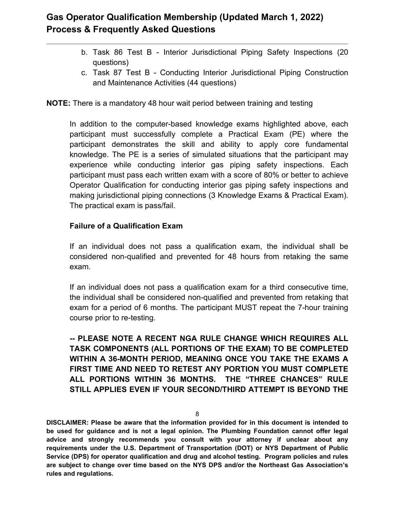- b. Task 86 Test B Interior Jurisdictional Piping Safety Inspections (20 questions)
- c. Task 87 Test B Conducting Interior Jurisdictional Piping Construction and Maintenance Activities (44 questions)

**NOTE:** There is a mandatory 48 hour wait period between training and testing

In addition to the computer-based knowledge exams highlighted above, each participant must successfully complete a Practical Exam (PE) where the participant demonstrates the skill and ability to apply core fundamental knowledge. The PE is a series of simulated situations that the participant may experience while conducting interior gas piping safety inspections. Each participant must pass each written exam with a score of 80% or better to achieve Operator Qualification for conducting interior gas piping safety inspections and making jurisdictional piping connections (3 Knowledge Exams & Practical Exam). The practical exam is pass/fail.

#### **Failure of a Qualification Exam**

If an individual does not pass a qualification exam, the individual shall be considered non-qualified and prevented for 48 hours from retaking the same exam.

If an individual does not pass a qualification exam for a third consecutive time, the individual shall be considered non-qualified and prevented from retaking that exam for a period of 6 months. The participant MUST repeat the 7-hour training course prior to re-testing.

**-- PLEASE NOTE A RECENT NGA RULE CHANGE WHICH REQUIRES ALL TASK COMPONENTS (ALL PORTIONS OF THE EXAM) TO BE COMPLETED WITHIN A 36-MONTH PERIOD, MEANING ONCE YOU TAKE THE EXAMS A FIRST TIME AND NEED TO RETEST ANY PORTION YOU MUST COMPLETE ALL PORTIONS WITHIN 36 MONTHS. THE "THREE CHANCES" RULE STILL APPLIES EVEN IF YOUR SECOND/THIRD ATTEMPT IS BEYOND THE** 

8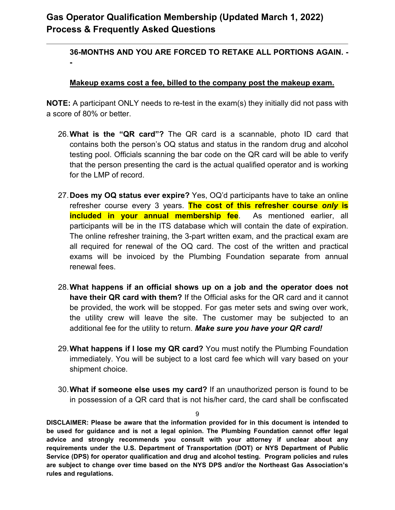**-**

### **36-MONTHS AND YOU ARE FORCED TO RETAKE ALL PORTIONS AGAIN. -**

#### **Makeup exams cost a fee, billed to the company post the makeup exam.**

**NOTE:** A participant ONLY needs to re-test in the exam(s) they initially did not pass with a score of 80% or better.

- 26.**What is the "QR card"?** The QR card is a scannable, photo ID card that contains both the person's OQ status and status in the random drug and alcohol testing pool. Officials scanning the bar code on the QR card will be able to verify that the person presenting the card is the actual qualified operator and is working for the LMP of record.
- 27.**Does my OQ status ever expire?** Yes, OQ'd participants have to take an online refresher course every 3 years. **The cost of this refresher course** *only* **is included in your annual membership fee**. As mentioned earlier, all participants will be in the ITS database which will contain the date of expiration. The online refresher training, the 3-part written exam, and the practical exam are all required for renewal of the OQ card. The cost of the written and practical exams will be invoiced by the Plumbing Foundation separate from annual renewal fees.
- 28.**What happens if an official shows up on a job and the operator does not have their QR card with them?** If the Official asks for the QR card and it cannot be provided, the work will be stopped. For gas meter sets and swing over work, the utility crew will leave the site. The customer may be subjected to an additional fee for the utility to return. *Make sure you have your QR card!*
- 29.**What happens if I lose my QR card?** You must notify the Plumbing Foundation immediately. You will be subject to a lost card fee which will vary based on your shipment choice.
- 30.**What if someone else uses my card?** If an unauthorized person is found to be in possession of a QR card that is not his/her card, the card shall be confiscated

 $\alpha$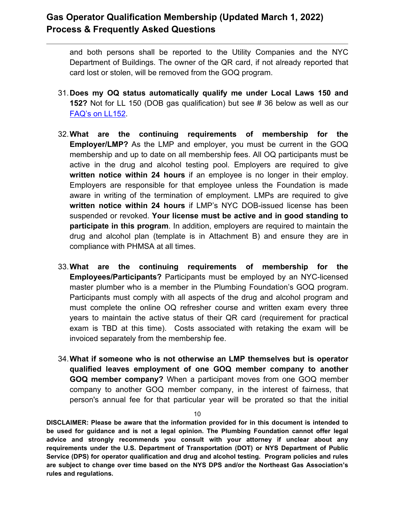and both persons shall be reported to the Utility Companies and the NYC Department of Buildings. The owner of the QR card, if not already reported that card lost or stolen, will be removed from the GOQ program.

- 31.**Does my OQ status automatically qualify me under Local Laws 150 and 152?** Not for LL 150 (DOB gas qualification) but see # 36 below as well as our [FAQ's on LL152.](https://www.plumbingfoundation.nyc/wp-content/uploads/2019/12/FAQs_-LL152-of-2016-periodic-gas-inspections.pdf?1)
- 32.**What are the continuing requirements of membership for the Employer/LMP?** As the LMP and employer, you must be current in the GOQ membership and up to date on all membership fees. All OQ participants must be active in the drug and alcohol testing pool. Employers are required to give **written notice within 24 hours** if an employee is no longer in their employ. Employers are responsible for that employee unless the Foundation is made aware in writing of the termination of employment. LMPs are required to give **written notice within 24 hours** if LMP's NYC DOB-issued license has been suspended or revoked. **Your license must be active and in good standing to participate in this program**. In addition, employers are required to maintain the drug and alcohol plan (template is in Attachment B) and ensure they are in compliance with PHMSA at all times.
- 33.**What are the continuing requirements of membership for the Employees/Participants?** Participants must be employed by an NYC-licensed master plumber who is a member in the Plumbing Foundation's GOQ program. Participants must comply with all aspects of the drug and alcohol program and must complete the online OQ refresher course and written exam every three years to maintain the active status of their QR card (requirement for practical exam is TBD at this time). Costs associated with retaking the exam will be invoiced separately from the membership fee.
- 34.**What if someone who is not otherwise an LMP themselves but is operator qualified leaves employment of one GOQ member company to another GOQ member company?** When a participant moves from one GOQ member company to another GOQ member company, in the interest of fairness, that person's annual fee for that particular year will be prorated so that the initial

10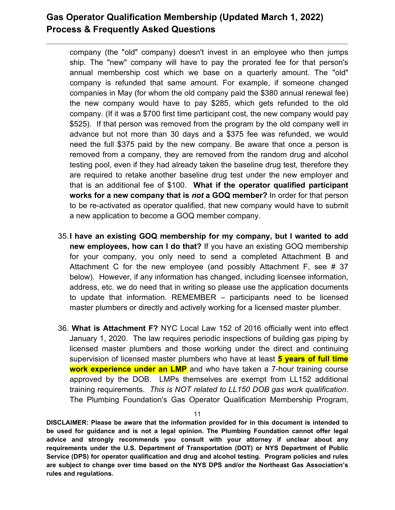company (the "old" company) doesn't invest in an employee who then jumps ship. The "new" company will have to pay the prorated fee for that person's annual membership cost which we base on a quarterly amount. The "old" company is refunded that same amount. For example, if someone changed companies in May (for whom the old company paid the \$380 annual renewal fee) the new company would have to pay \$285, which gets refunded to the old company. (If it was a \$700 first time participant cost, the new company would pay \$525). If that person was removed from the program by the old company well in advance but not more than 30 days and a \$375 fee was refunded, we would need the full \$375 paid by the new company. Be aware that once a person is removed from a company, they are removed from the random drug and alcohol testing pool, even if they had already taken the baseline drug test, therefore they are required to retake another baseline drug test under the new employer and that is an additional fee of \$100. **What if the operator qualified participant works for a new company that is** *not* **a GOQ member?** In order for that person to be re-activated as operator qualified, that new company would have to submit a new application to become a GOQ member company.

- 35.**I have an existing GOQ membership for my company, but I wanted to add new employees, how can I do that?** If you have an existing GOQ membership for your company, you only need to send a completed Attachment B and Attachment C for the new employee (and possibly Attachment F, see # 37 below). However, if any information has changed, including licensee information, address, etc. we do need that in writing so please use the application documents to update that information. REMEMBER – participants need to be licensed master plumbers or directly and actively working for a licensed master plumber.
- 36. **What is Attachment F?** NYC Local Law 152 of 2016 officially went into effect January 1, 2020. The law requires periodic inspections of building gas piping by licensed master plumbers and those working under the direct and continuing supervision of licensed master plumbers who have at least **5 years of full time work experience under an LMP** and who have taken a 7-hour training course approved by the DOB. LMPs themselves are exempt from LL152 additional training requirements. *This is NOT related to LL150 DOB gas work qualification*. The Plumbing Foundation's Gas Operator Qualification Membership Program,

11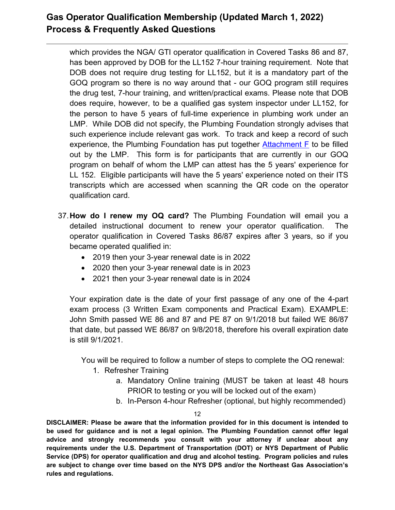which provides the NGA/ GTI operator qualification in Covered Tasks 86 and 87, has been approved by DOB for the LL152 7-hour training requirement. Note that DOB does not require drug testing for LL152, but it is a mandatory part of the GOQ program so there is no way around that - our GOQ program still requires the drug test, 7-hour training, and written/practical exams. Please note that DOB does require, however, to be a qualified gas system inspector under LL152, for the person to have 5 years of full-time experience in plumbing work under an LMP. While DOB did not specify, the Plumbing Foundation strongly advises that such experience include relevant gas work. To track and keep a record of such experience, the Plumbing Foundation has put together  $Attention$  The to be filled out by the LMP. This form is for participants that are currently in our GOQ program on behalf of whom the LMP can attest has the 5 years' experience for LL 152. Eligible participants will have the 5 years' experience noted on their ITS transcripts which are accessed when scanning the QR code on the operator qualification card.

- 37.**How do I renew my OQ card?** The Plumbing Foundation will email you a detailed instructional document to renew your operator qualification. The operator qualification in Covered Tasks 86/87 expires after 3 years, so if you became operated qualified in:
	- 2019 then your 3-year renewal date is in 2022
	- 2020 then your 3-year renewal date is in 2023
	- 2021 then your 3-year renewal date is in 2024

Your expiration date is the date of your first passage of any one of the 4-part exam process (3 Written Exam components and Practical Exam). EXAMPLE: John Smith passed WE 86 and 87 and PE 87 on 9/1/2018 but failed WE 86/87 that date, but passed WE 86/87 on 9/8/2018, therefore his overall expiration date is still 9/1/2021.

You will be required to follow a number of steps to complete the OQ renewal:

- 1. Refresher Training
	- a. Mandatory Online training (MUST be taken at least 48 hours PRIOR to testing or you will be locked out of the exam)
	- b. In-Person 4-hour Refresher (optional, but highly recommended)

12